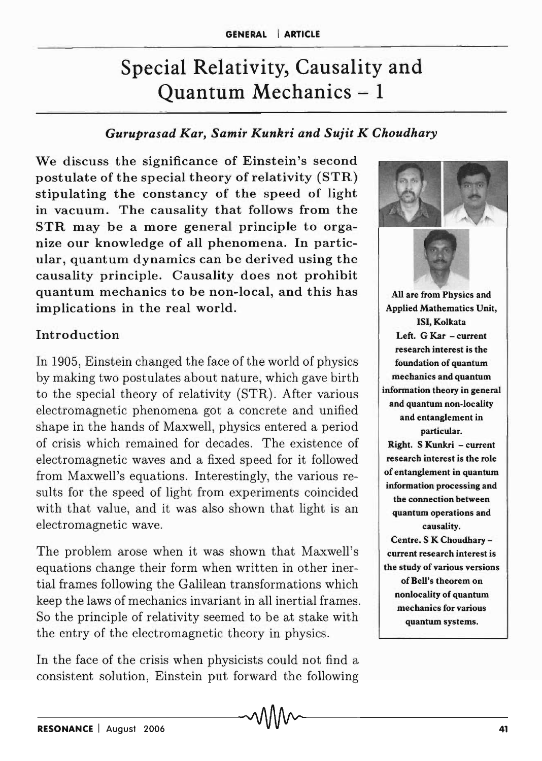# Special Relativity, Causality and Quantum Mechanics - 1

### *Guruprasad Kar, Samir Kunkri and Sujit K Choudhary*

We discuss the significance of Einstein's second postulate of the special theory of relativity (STR) stipulating the constancy of the speed of light in vacuum. The causality that follows from the STR may be a more general principle to organize our knowledge of all phenomena. In particular, quantum dynamics can be derived using the causality principle. Causality does not prohibit quantum mechanics to be non-local, and this has implications in the real world.

#### Introduction

In 1905, Einstein changed the face of the world of physics by making two postulates about nature, which gave birth to the special theory of relativity (STR). After various electromagnetic phenomena got a concrete and unified shape in the hands of Maxwell, physics entered a period of crisis which remained for decades. The existence of electromagnetic waves and a fixed speed for it followed from Maxwell's equations. Interestingly, the various results for the speed of light from experiments coincided with that value, and it was also shown that light is an electromagnetic wave.

The problem arose when it was shown that Maxwell's equations change their form when written in other inertial frames following the Galilean transformations which keep the laws of mechanics invariant in all inertial frames. So the principle of relativity seemed to be at stake with the entry of the electromagnetic theory in physics.

In the face of the crisis when physicists could not find a consistent solution, Einstein put forward the following

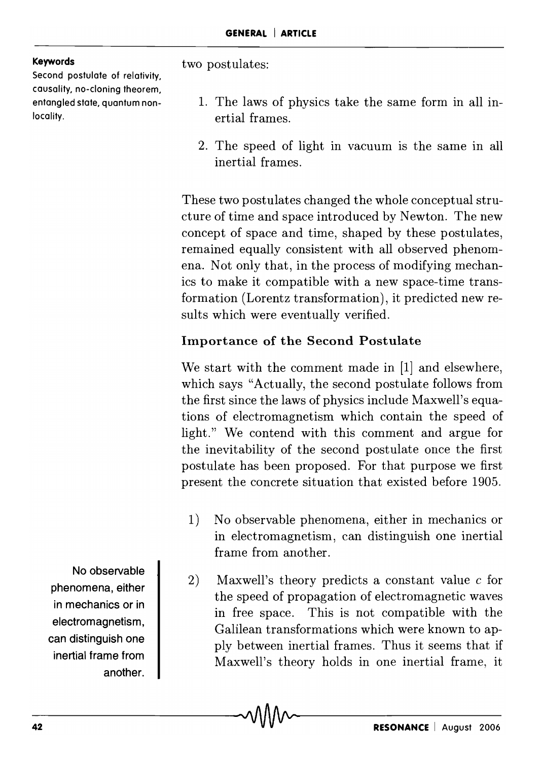#### **Keywords**

Second postulate of relativity, causality, no-cloning theorem, entangled state, quantum nonlocality.

two postulates:

- 1. The laws of physics take the same form in all inertial frames.
- 2. The speed of light in vacuum is the same in all inertial frames.

These two postulates changed the whole conceptual structure of time and space introduced by Newton. The new concept of space and time, shaped by these postulates, remained equally consistent with all observed phenomena. Not only that, in the process of modifying mechanics to make it compatible with a new space-time transformation (Lorentz transformation), it predicted new results which were eventually verified.

## Importance of the Second Postulate

We start with the comment made in [1] and elsewhere, which says "Actually, the second postulate follows from the first since the laws of physics include Maxwell's equations of electromagnetism which contain the speed of light." We contend with this comment and argue for the inevitability of the second postulate once the first postulate has been proposed. For that purpose we first present the concrete situation that existed before 1905.

- 1) No observable phenomena, either in mechanics or in electromagnetism, can distinguish one inertial frame from another.
- 2) Maxwell's theory predicts a constant value c for the speed of propagation of electromagnetic waves in free space. This is not compatible with the Galilean transformations which were known to apply between inertial frames. Thus it seems that if Maxwell's theory holds in one inertial frame, it

No observable phenomena, either in mechanics or in electromagnetism, can distinguish one inertial frame from another.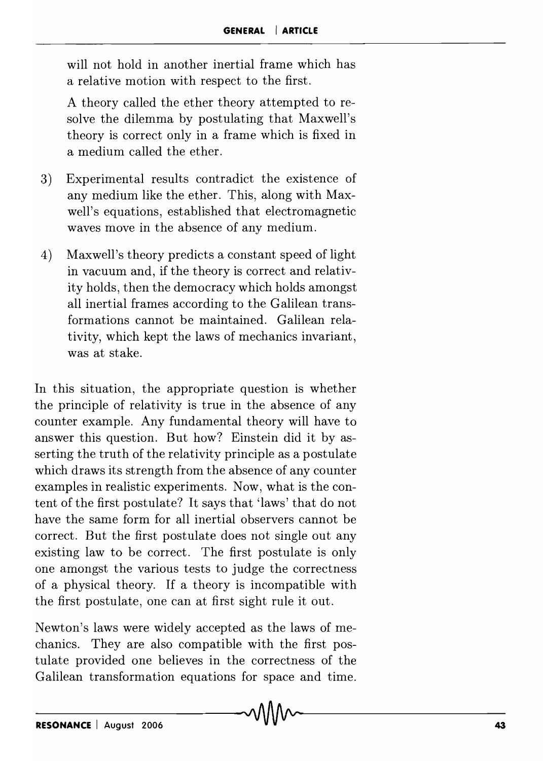will not hold in another inertial frame which has a relative motion with respect to the first.

A theory called the ether theory attempted to resolve the dilemma by postulating that Maxwell's theory is correct only in a frame which is fixed in a medium called the ether.

- 3) Experimental results contradict the existence of any medium like the ether. This, along with Maxwell's equations, established that electromagnetic waves move in the absence of any medium.
- 4) Maxwell's theory predicts a constant speed of light in vacuum and, if the theory is correct and relativity holds, then the democracy which holds amongst all inertial frames according to the Galilean transformations cannot be maintained. Galilean relativity, which kept the laws of mechanics invariant, was at stake.

In this situation, the appropriate question is whether the principle of relativity is true in the absence of any counter example. Any fundamental theory will have to answer this question. But how? Einstein did it by asserting the truth of the relativity principle as a postulate which draws its strength from the absence of any counter examples in realistic experiments. Now, what is the content of the first postulate? It says that 'laws' that do not have the same form for all inertial observers cannot be correct. But the first postulate does not single out any existing law to be correct. The first postulate is only one amongst the various tests to judge the correctness of a physical theory. If a theory is incompatible with the first postulate, one can at first sight rule it out.

Newton's laws were widely accepted as the laws of mechanics. They are also compatible with the first postulate provided one believes in the correctness of the Galilean transformation equations for space and time.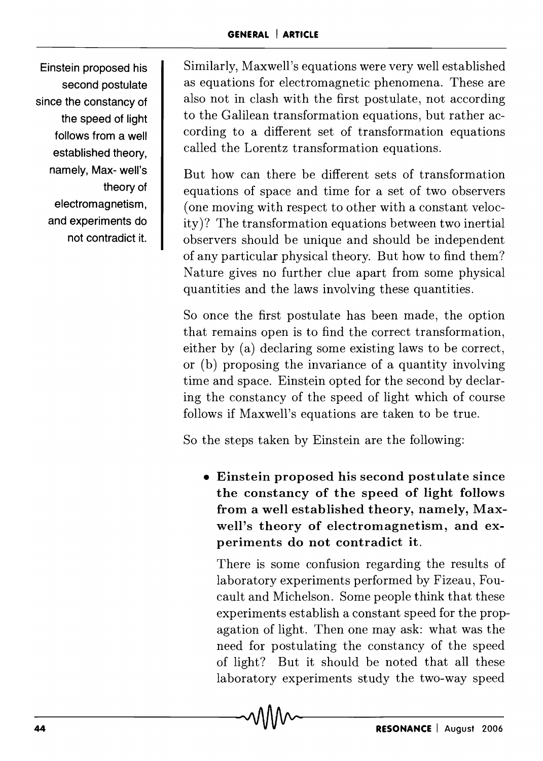Einstein proposed his second postulate since the constancy of the speed of light follows from a well established theory, namely, Max- well's theory of electromagnetism, and experiments do not contradict it.

Similarly, Maxwell's equations were very well established as equations for electromagnetic phenomena. These are also not in clash with the first postulate, not according to the Galilean transformation equations, but rather according to a different set of transformation equations called the Lorentz transformation equations.

But how can there be different sets of transformation equations of space and time for a set of two observers (one moving with respect to other with a constant velocity)? The transformation equations between two inertial observers should be unique and should be independent of any particular physical theory. But how to find them? Nature gives no further clue apart from some physical quantities and the laws involving these quantities.

So once the first postulate has been made, the option that remains open is to find the correct transformation, either by (a) declaring some existing laws to be correct, or (b) proposing the invariance of a quantity involving time and space. Einstein opted for the second by declaring the constancy of the speed of light which of course follows if Maxwell's equations are taken to be true.

So the steps taken by Einstein are the following:

• Einstein proposed his second postulate since the constancy of the speed of light follows from a well established theory, namely, Maxwell's theory of electromagnetism, and experiments do not contradict it.

There is some confusion regarding the results of laboratory experiments performed by Fizeau, Foucault and Michelson. Some people think that these experiments establish a constant speed for the propagation of light. Then one may ask: what was the need for postulating the constancy of the speed of light? But it should be noted that all these laboratory experiments study the two-way speed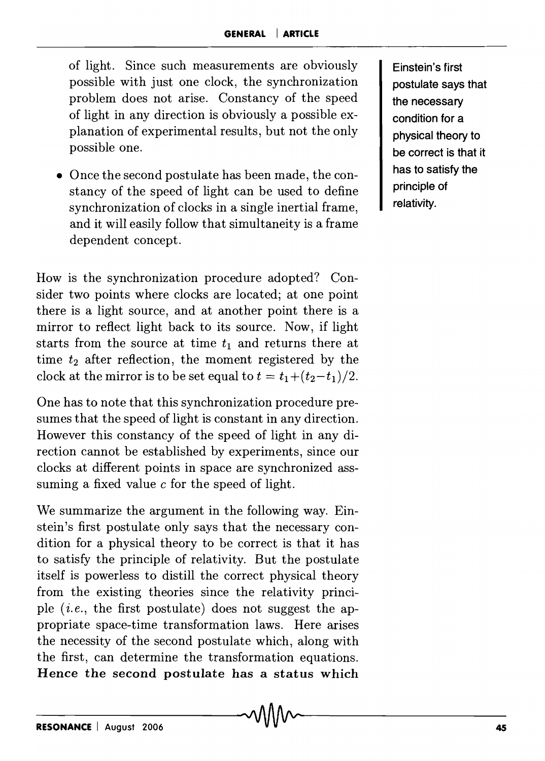of light. Since such measurements are obviously possible with just one clock, the synchronization problem does not arise. Constancy of the speed of light in any direction is obviously a possible explanation of experimental results, but not the only possible one.

• Once the second postulate has been made, the constancy of the speed of light can be used to define synchronization of clocks in a single inertial frame, and it will easily follow that simultaneity is a frame dependent concept.

How is the synchronization procedure adopted? Consider two points where clocks are located; at one point there is a light source, and at another point there is a mirror to reflect light back to its source. Now, if light starts from the source at time  $t_1$  and returns there at time  $t_2$  after reflection, the moment registered by the clock at the mirror is to be set equal to  $t = t_1+(t_2-t_1)/2$ .

One has to note that this synchronization procedure presumes that the speed of light is constant in any direction. However this constancy of the speed of light in any direction cannot be established by experiments, since our clocks at different points in space are synchronized asssuming a fixed value  $c$  for the speed of light.

We summarize the argument in the following way. Einstein's first postulate only says that the necessary condition for a physical theory to be correct is that it has to satisfy the principle of relativity. But the postulate itself is powerless to distill the correct physical theory from the existing theories since the relativity principle (i. *e.,* the first postulate) does not suggest the appropriate space-time transformation laws. Here arises the necessity of the second postulate which, along with the first, can determine the transformation equations. Hence the second postulate has a status which

Einstein's first postulate says that the necessary condition for a physical theory to be correct is that it has to satisfy the principle of relativity.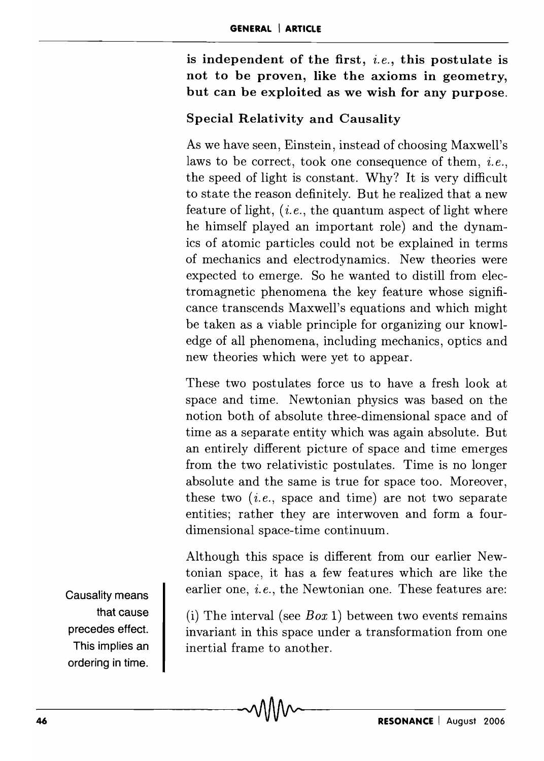is independent of the first, *i.e.,* this postulate is not to be proven, like the axioms in geometry, but can be exploited as we wish for any purpose.

#### Special Relativity and Causality

As we have seen, Einstein, instead of choosing Maxwell's laws to be correct, took one consequence of them, *i.e.*, the speed of light is constant. Why? It is very difficult to state the reason definitely. But he realized that a new feature of light, (*i.e.*, the quantum aspect of light where he himself played an important role) and the dynamics of atomic particles could not be explained in terms of mechanics and electrodynamics. New theories were expected to emerge. So he wanted to distill from electromagnetic phenomena the key feature whose significance transcends Maxwell's equations and which might be taken as a viable principle for organizing our knowledge of all phenomena, including mechanics, optics and new theories which were yet to appear.

These two postulates force us to have a fresh look at space and time. Newtonian physics was based on the notion both of absolute three-dimensional space and of time as a separate entity which was again absolute. But an entirely different picture of space and time emerges from the two relativistic postulates. Time is no longer absolute and the same is true for space too. Moreover, these two  $(i.e., space and time)$  are not two separate entities; rather they are interwoven and form a fourdimensional space-time continuum.

Although this space is different from our earlier Newtonian space, it has a few features which are like the earlier one, *i.e.,* the Newtonian one. These features are:

(i) The interval (see *Box* 1) between two events remains invariant in this space under a transformation from one inertial frame to another.

Causality means that cause precedes effect. This implies an ordering in time.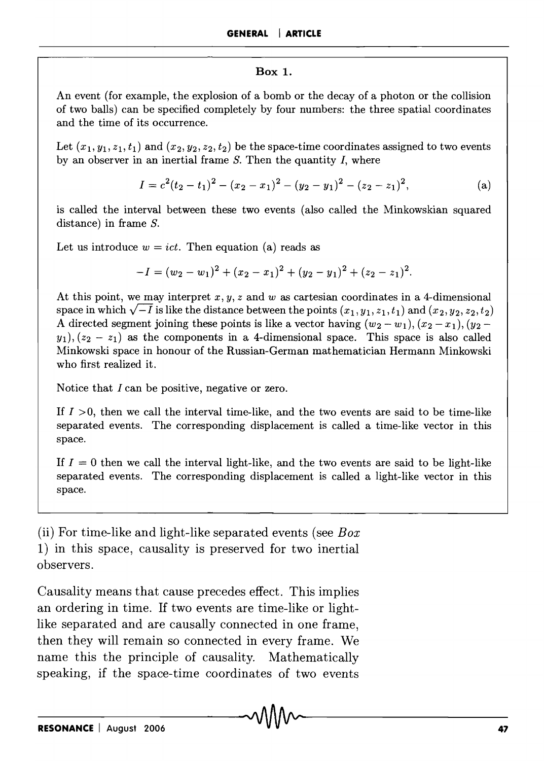#### **Box 1.**

An event (for example, the explosion of a bomb or the decay of a photon or the collision of two balls) can be specified completely by four numbers: the three spatial coordinates and the time of its occurrence.

Let  $(x_1, y_1, z_1, t_1)$  and  $(x_2, y_2, z_2, t_2)$  be the space-time coordinates assigned to two events by an observer in an inertial frame *S.* Then the quantity *I,* where

$$
I = c2(t2 - t1)2 - (x2 - x1)2 - (y2 - y1)2 - (z2 - z1)2,
$$
 (a)

is called the interval between these two events (also called the Minkowskian squared distance) in frame *S.* 

Let us introduce  $w = ict$ . Then equation (a) reads as

$$
-I = (w_2 - w_1)^2 + (x_2 - x_1)^2 + (y_2 - y_1)^2 + (z_2 - z_1)^2.
$$

At this point, we may interpret  $x, y, z$  and w as cartesian coordinates in a 4-dimensional space in which  $\sqrt{-1}$  is like the distance between the points  $(x_1, y_1, z_1, t_1)$  and  $(x_2, y_2, z_2, t_2)$ A directed segment joining these points is like a vector having  $(w_2 - w_1), (x_2 - x_1), (y_2$  $y_1$ ,  $(z_2 - z_1)$  as the components in a 4-dimensional space. This space is also called Minkowski space in honour of the Russian-German mathematician Hermann Minkowski who first realized it.

Notice that I can be positive, negative or zero.

If  $I > 0$ , then we call the interval time-like, and the two events are said to be time-like separated events. The corresponding displacement is called a time-like vector in this space.

If  $I = 0$  then we call the interval light-like, and the two events are said to be light-like separated events. The corresponding displacement is called a light-like vector in this space.

(ii) For time-like and light-like separated events (see *Box*  1) in this space, causality is preserved for two inertial observers.

Causality means that cause precedes effect. This implies an ordering in time. If two events are time-like or lightlike separated and are causally connected in one frame, then they will remain so connected in every frame. We name this the principle of causality. Mathematically speaking, if the space-time coordinates of two events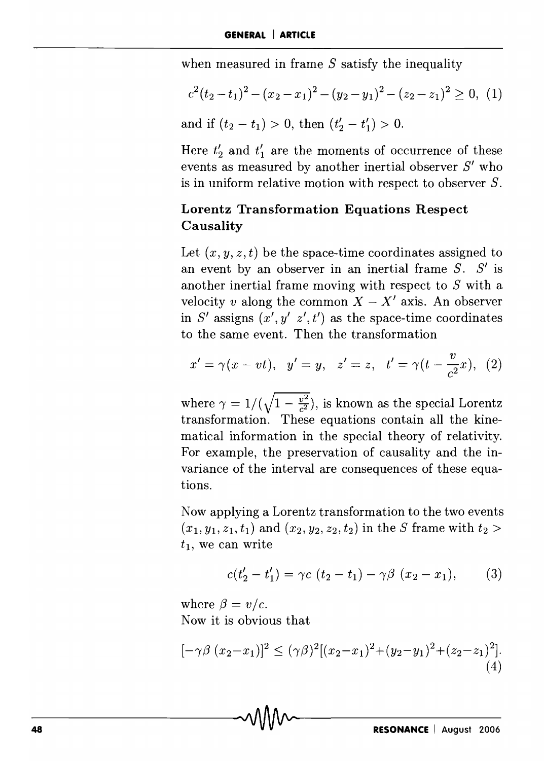when measured in frame  $S$  satisfy the inequality

$$
c^{2}(t_{2}-t_{1})^{2}-(x_{2}-x_{1})^{2}-(y_{2}-y_{1})^{2}-(z_{2}-z_{1})^{2}\geq 0, (1)
$$

and if  $(t_2 - t_1) > 0$ , then  $(t'_2 - t'_1) > 0$ .

Here  $t'_{2}$  and  $t'_{1}$  are the moments of occurrence of these events as measured by another inertial observer  $S'$  who is in uniform relative motion with respect to observer 8.

#### **Lorentz Transformation Equations Respect Causality**

Let  $(x, y, z, t)$  be the space-time coordinates assigned to an event by an observer in an inertial frame  $S$ .  $S'$  is another inertial frame moving with respect to  $S$  with a velocity *v* along the common  $X - X'$  axis. An observer in S' assigns  $(x', y' \, z', t')$  as the space-time coordinates to the same event. Then the transformation

$$
x' = \gamma(x - vt),
$$
  $y' = y,$   $z' = z,$   $t' = \gamma(t - \frac{v}{c^2}x),$  (2)

where  $\gamma = 1/(\sqrt{1 - \frac{v^2}{c^2}})$ , is known as the special Lorentz transformation. These equations contain all the kinematical information in the special theory of relativity. For example, the preservation of causality and the invariance of the interval are consequences of these equations.

Now applying a Lorentz transformation to the two events  $(x_1, y_1, z_1, t_1)$  and  $(x_2, y_2, z_2, t_2)$  in the *S* frame with  $t_2 >$  $t_1$ , we can write

$$
c(t'_2 - t'_1) = \gamma c \ (t_2 - t_1) - \gamma \beta \ (x_2 - x_1), \qquad (3)
$$

where  $\beta = v/c$ . Now it is obvious that

$$
[-\gamma \beta (x_2 - x_1)]^2 \le (\gamma \beta)^2 [(x_2 - x_1)^2 + (y_2 - y_1)^2 + (z_2 - z_1)^2].
$$
\n(4)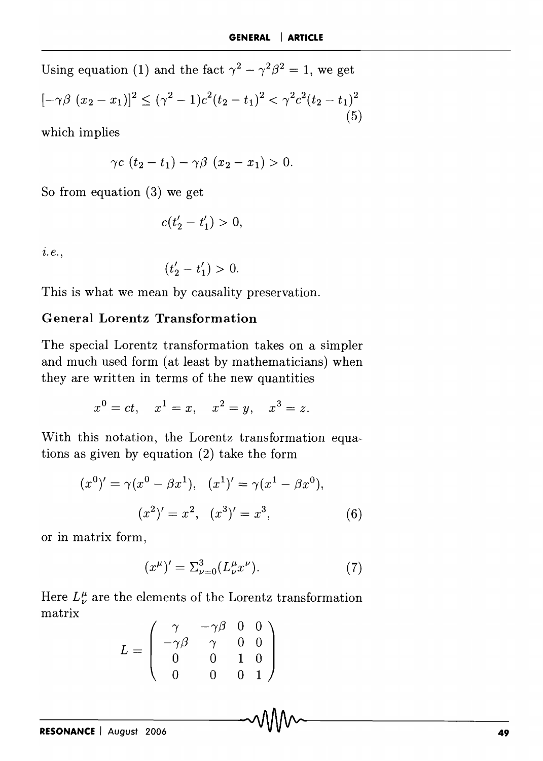Using equation (1) and the fact  $\gamma^2 - \gamma^2 \beta^2 = 1$ , we get  $[-\gamma\beta(x_2 - x_1)]^2 \leq (\gamma^2 - 1)c^2(t_2 - t_1)^2 < \gamma^2c^2(t_2 - t_1)^2$ (5)

which implies

$$
\gamma c\ (t_2-t_1)-\gamma\beta\ (x_2-x_1)>0.
$$

So from equation (3) we get

$$
c(t_2'-t_1') > 0,
$$

z. *e.,* 

$$
(t_2'-t_1')>0.
$$

This is what we mean by causality preservation.

#### **General Lorentz Transformation**

The special Lorentz transformation takes on a simpler and much used form (at least by mathematicians) when they are written in terms of the new quantities

$$
x^0 = ct
$$
,  $x^1 = x$ ,  $x^2 = y$ ,  $x^3 = z$ .

With this notation, the Lorentz transformation equations as given by equation (2) take the form

$$
(x0)' = \gamma (x0 - \beta x1), (x1)' = \gamma (x1 - \beta x0),
$$
  

$$
(x2)' = x2, (x3)' = x3,
$$
 (6)

or in matrix form,

$$
(x^{\mu})' = \sum_{\nu=0}^{3} (L_{\nu}^{\mu} x^{\nu}).
$$
 (7)

Here  $L^{\mu}_{\nu}$  are the elements of the Lorentz transformation matrix

$$
L = \begin{pmatrix} \gamma & -\gamma \beta & 0 & 0 \\ -\gamma \beta & \gamma & 0 & 0 \\ 0 & 0 & 1 & 0 \\ 0 & 0 & 0 & 1 \end{pmatrix}
$$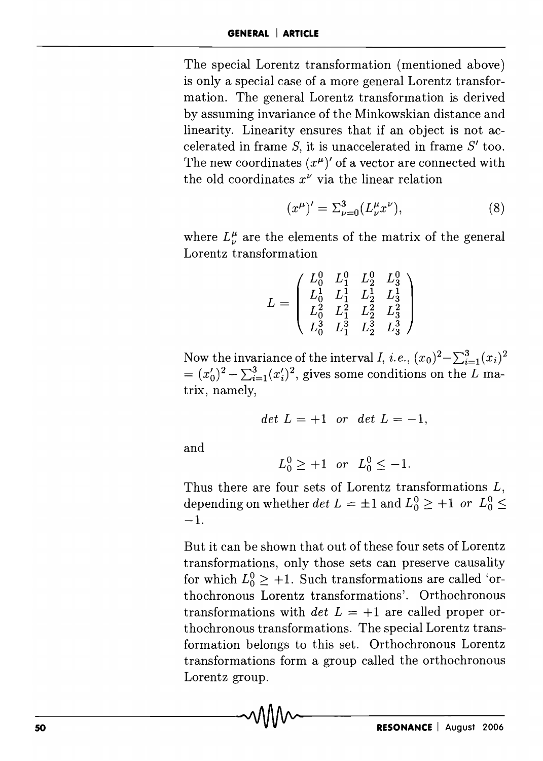The special Lorentz transformation (mentioned above) is only a special case of a more general Lorentz transformation. The general Lorentz transformation is derived by assuming invariance of the Minkowskian distance and linearity. Linearity ensures that if an object is not accelerated in frame  $S$ , it is unaccelerated in frame  $S'$  too. The new coordinates  $(x^{\mu})'$  of a vector are connected with the old coordinates  $x^{\nu}$  via the linear relation

$$
(x^{\mu})' = \sum_{\nu=0}^{3} (L_{\nu}^{\mu} x^{\nu}), \tag{8}
$$

where  $L^{\mu}_{\nu}$  are the elements of the matrix of the general Lorentz transformation

$$
L=\left(\begin{array}{cccc} L_0^0 & L_1^0 & L_2^0 & L_3^0 \\ L_0^1 & L_1^1 & L_2^1 & L_3^1 \\ L_0^2 & L_1^2 & L_2^2 & L_3^2 \\ L_0^3 & L_1^3 & L_2^3 & L_3^3 \end{array}\right)
$$

Now the invariance of the interval *I*, *i.e.*,  $(x_0)^2 - \sum_{i=1}^3 (x_i)^2$  $=(x'_0)^2 - \sum_{i=1}^3 (x'_i)^2$ , gives some conditions on the L matrix, namely,

$$
det L = +1 \quad or \quad det L = -1,
$$

and

$$
L_0^0 \ge +1
$$
 or  $L_0^0 \le -1$ .

Thus there are four sets of Lorentz transformations *L,*  depending on whether *det*  $L = \pm 1$  and  $L_0^0 \geq +1$  *or*  $L_0^0 \leq$ -1.

But it can be shown that out of these four sets of Lorentz transformations, only those sets can preserve causality for which  $L_0^0 \geq +1$ . Such transformations are called 'orthochronous Lorentz transformations'. Orthochronous transformations with *det*  $L = +1$  are called proper orthochronous transformations. The special Lorentz transformation belongs to this set. Orthochronous Lorentz transformations form a group called the orthochronous Lorentz group.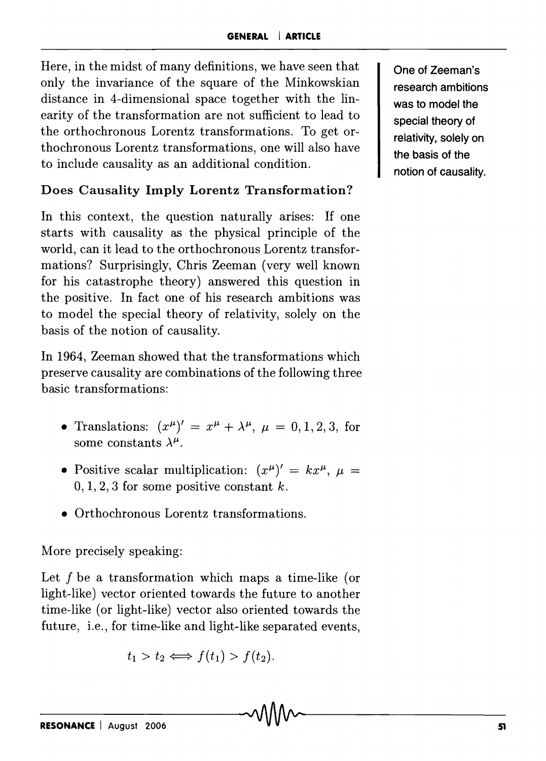Here, in the midst of many definitions, we have seen that only the invariance of the square of the Minkowskian distance in 4-dimensional space together with the linearity of the transformation are not sufficient to lead to the orthochronous Lorentz transformations. To get orthochronous Lorentz transformations, one will also have to include causality as an additional condition.

## **Does Causality Imply Lorentz Transformation?**

**In** this context, the question naturally arises: If one starts with causality as the physical principle of the world, can it lead to the orthochronous Lorentz transformations? Surprisingly, Chris Zeeman (very well known for his catastrophe theory) answered this question in the positive. **In** fact one of his research ambitions was to model the special theory of relativity, solely on the basis of the notion of causality.

**In** 1964, Zeeman showed that the transformations which preserve causality are combinations of the following three basic transformations:

- Translations:  $(x^{\mu})' = x^{\mu} + \lambda^{\mu}, \mu = 0, 1, 2, 3$ , for some constants  $\lambda^{\mu}$ .
- Positive scalar multiplication:  $(x^{\mu})' = kx^{\mu}, \mu =$  $0, 1, 2, 3$  for some positive constant k.
- Orthochronous Lorentz transformations.

More precisely speaking:

Let f be a transformation which maps a time-like (or light-like) vector oriented towards the future to another time-like (or light-like) vector also oriented towards the future, i.e., for time-like and light-like separated events,

$$
t_1 > t_2 \Longleftrightarrow f(t_1) > f(t_2).
$$

**One of Zeeman's research ambitions was to model the special theory of relativity, solely on the basis of the notion of causality.**